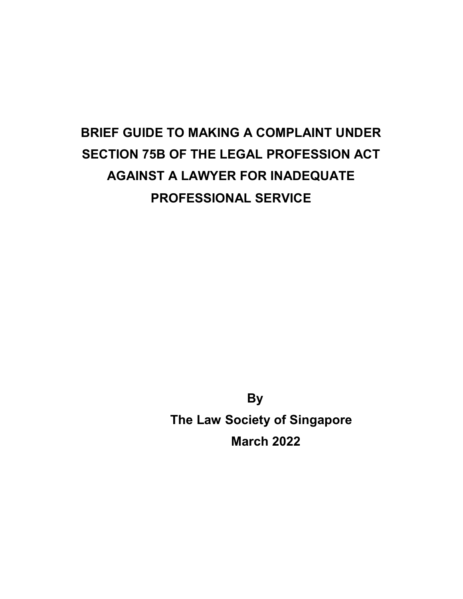# BRIEF GUIDE TO MAKING A COMPLAINT UNDER SECTION 75B OF THE LEGAL PROFESSION ACT AGAINST A LAWYER FOR INADEQUATE PROFESSIONAL SERVICE

By The Law Society of Singapore March 2022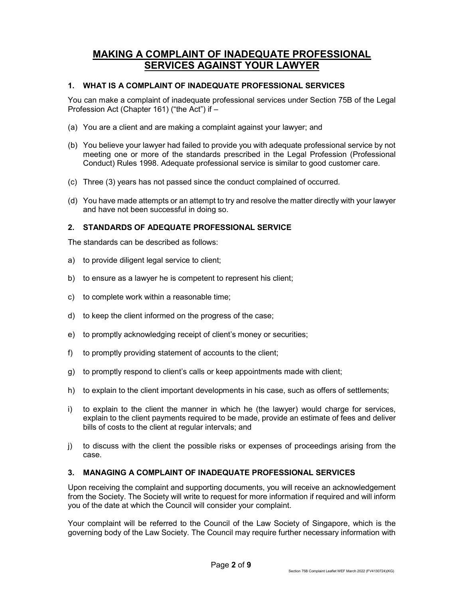## MAKING A COMPLAINT OF INADEQUATE PROFESSIONAL SERVICES AGAINST YOUR LAWYER

## 1. WHAT IS A COMPLAINT OF INADEQUATE PROFESSIONAL SERVICES

You can make a complaint of inadequate professional services under Section 75B of the Legal Profession Act (Chapter 161) ("the Act") if –

- (a) You are a client and are making a complaint against your lawyer; and
- (b) You believe your lawyer had failed to provide you with adequate professional service by not meeting one or more of the standards prescribed in the Legal Profession (Professional Conduct) Rules 1998. Adequate professional service is similar to good customer care.
- (c) Three (3) years has not passed since the conduct complained of occurred.
- (d) You have made attempts or an attempt to try and resolve the matter directly with your lawyer and have not been successful in doing so.

## 2. STANDARDS OF ADEQUATE PROFESSIONAL SERVICE

The standards can be described as follows:

- a) to provide diligent legal service to client;
- b) to ensure as a lawyer he is competent to represent his client;
- c) to complete work within a reasonable time;
- d) to keep the client informed on the progress of the case;
- e) to promptly acknowledging receipt of client's money or securities;
- f) to promptly providing statement of accounts to the client;
- g) to promptly respond to client's calls or keep appointments made with client;
- h) to explain to the client important developments in his case, such as offers of settlements;
- i) to explain to the client the manner in which he (the lawyer) would charge for services, explain to the client payments required to be made, provide an estimate of fees and deliver bills of costs to the client at regular intervals; and
- j) to discuss with the client the possible risks or expenses of proceedings arising from the case.

## 3. MANAGING A COMPLAINT OF INADEQUATE PROFESSIONAL SERVICES

Upon receiving the complaint and supporting documents, you will receive an acknowledgement from the Society. The Society will write to request for more information if required and will inform you of the date at which the Council will consider your complaint.

Your complaint will be referred to the Council of the Law Society of Singapore, which is the governing body of the Law Society. The Council may require further necessary information with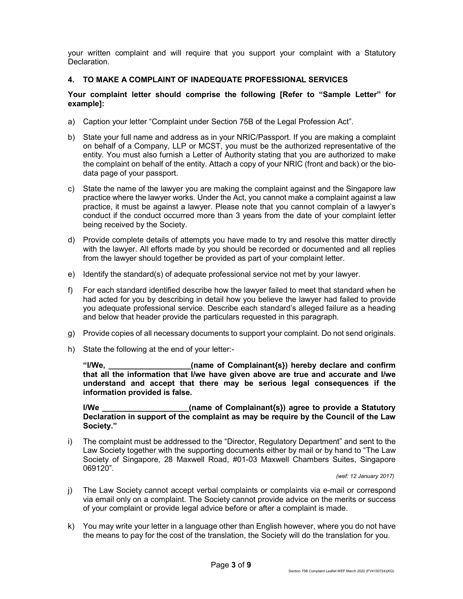your written complaint and will require that you support your complaint with a Statutory Declaration.

## 4. TO MAKE A COMPLAINT OF INADEQUATE PROFESSIONAL SERVICES

## Your complaint letter should comprise the following [Refer to "Sample Letter" for example]:

- a) Caption your letter "Complaint under Section 75B of the Legal Profession Act".
- b) State your full name and address as in your NRIC/Passport. If you are making a complaint on behalf of a Company, LLP or MCST, you must be the authorized representative of the entity. You must also furnish a Letter of Authority stating that you are authorized to make the complaint on behalf of the entity. Attach a copy of your NRIC (front and back) or the biodata page of your passport.
- c) State the name of the lawyer you are making the complaint against and the Singapore law practice where the lawyer works. Under the Act, you cannot make a complaint against a law practice, it must be against a lawyer. Please note that you cannot complain of a lawyer's conduct if the conduct occurred more than 3 years from the date of your complaint letter being received by the Society.
- d) Provide complete details of attempts you have made to try and resolve this matter directly with the lawyer. All efforts made by you should be recorded or documented and all replies from the lawyer should together be provided as part of your complaint letter.
- e) Identify the standard(s) of adequate professional service not met by your lawyer.
- f) For each standard identified describe how the lawyer failed to meet that standard when he had acted for you by describing in detail how you believe the lawyer had failed to provide you adequate professional service. Describe each standard's alleged failure as a heading and below that header provide the particulars requested in this paragraph.
- g) Provide copies of all necessary documents to support your complaint. Do not send originals.
- h) State the following at the end of your letter:-

"I/We, \_\_\_\_\_\_\_\_\_\_\_\_\_\_\_\_\_\_\_(name of Complainant{s}) hereby declare and confirm that all the information that I/we have given above are true and accurate and I/we understand and accept that there may be serious legal consequences if the information provided is false.

I/We \_\_\_\_\_\_\_\_\_\_\_\_\_\_\_\_\_\_\_\_(name of Complainant{s}) agree to provide a Statutory Declaration in support of the complaint as may be require by the Council of the Law Society."

i) The complaint must be addressed to the "Director, Regulatory Department" and sent to the Law Society together with the supporting documents either by mail or by hand to "The Law Society of Singapore, 28 Maxwell Road, #01-03 Maxwell Chambers Suites, Singapore 069120".

(wef: 12 January 2017)

- j) The Law Society cannot accept verbal complaints or complaints via e-mail or correspond via email only on a complaint. The Society cannot provide advice on the merits or success of your complaint or provide legal advice before or after a complaint is made.
- k) You may write your letter in a language other than English however, where you do not have the means to pay for the cost of the translation, the Society will do the translation for you.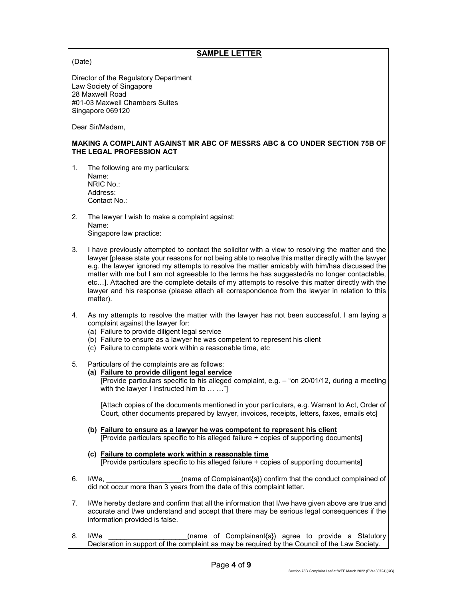## SAMPLE LETTER

(Date)

Director of the Regulatory Department Law Society of Singapore 28 Maxwell Road #01-03 Maxwell Chambers Suites Singapore 069120

Dear Sir/Madam,

#### MAKING A COMPLAINT AGAINST MR ABC OF MESSRS ABC & CO UNDER SECTION 75B OF THE LEGAL PROFESSION ACT

- 1. The following are my particulars: Name: NRIC No.: Address: Contact No.:
- 2. The lawyer I wish to make a complaint against: Name: Singapore law practice:
- 3. I have previously attempted to contact the solicitor with a view to resolving the matter and the lawyer [please state your reasons for not being able to resolve this matter directly with the lawyer e.g. the lawyer ignored my attempts to resolve the matter amicably with him/has discussed the matter with me but I am not agreeable to the terms he has suggested/is no longer contactable, etc…]. Attached are the complete details of my attempts to resolve this matter directly with the lawyer and his response (please attach all correspondence from the lawyer in relation to this matter).
- 4. As my attempts to resolve the matter with the lawyer has not been successful, I am laying a complaint against the lawyer for:
	- (a) Failure to provide diligent legal service
	- (b) Failure to ensure as a lawyer he was competent to represent his client
	- (c) Failure to complete work within a reasonable time, etc
- 5. Particulars of the complaints are as follows:
	- (a) Failure to provide diligent legal service [Provide particulars specific to his alleged complaint, e.g. – "on 20/01/12, during a meeting with the lawyer I instructed him to ... ..."

[Attach copies of the documents mentioned in your particulars, e.g. Warrant to Act, Order of Court, other documents prepared by lawyer, invoices, receipts, letters, faxes, emails etc]

- (b) Failure to ensure as a lawyer he was competent to represent his client [Provide particulars specific to his alleged failure + copies of supporting documents]
- (c) Failure to complete work within a reasonable time [Provide particulars specific to his alleged failure + copies of supporting documents]
- 6. I/We, **I/We**, **Example 1** (name of Complainant{s}) confirm that the conduct complained of did not occur more than 3 years from the date of this complaint letter.
- 7. I/We hereby declare and confirm that all the information that I/we have given above are true and accurate and I/we understand and accept that there may be serious legal consequences if the information provided is false.
- 8. I/We \_\_\_\_\_\_\_\_\_\_\_\_\_\_\_\_\_\_\_\_(name of Complainant{s}) agree to provide a Statutory Declaration in support of the complaint as may be required by the Council of the Law Society.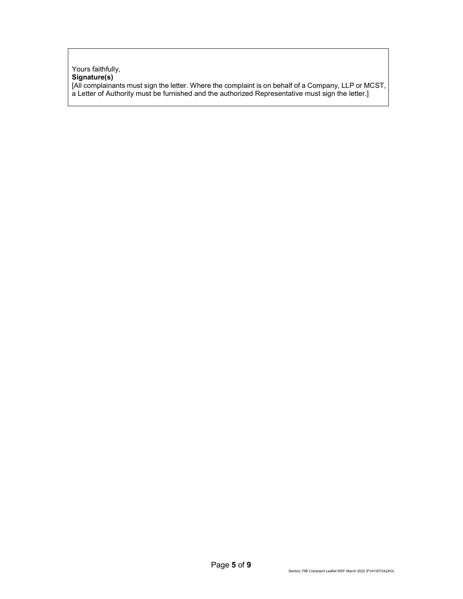#### Yours faithfully, Signature(s) [All complainants must sign the letter. Where the complaint is on behalf of a Company, LLP or MCST, a Letter of Authority must be furnished and the authorized Representative must sign the letter.]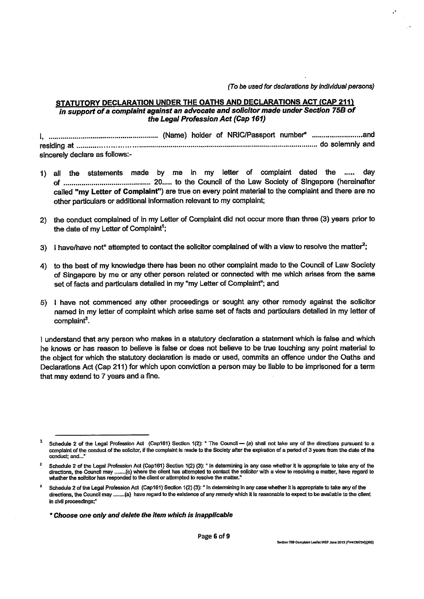(To be used for declarations by individual persons)

## STATUTORY DECLARATION UNDER THE OATHS AND DECLARATIONS ACT (CAP 211) in support of a complaint against an advocate and solicitor made under Section 75B of the Legal Profession Act (Cap 161)

sincerely declare as follows:-

- 1) all the statements made by me in my letter of complaint dated the ..... dav called "my Letter of Complaint") are true on every point material to the complaint and there are no other particulars or additional information relevant to my complaint;
- 2) the conduct complained of in my Letter of Complaint did not occur more than three (3) years prior to the date of my Letter of Complaint<sup>1</sup>;
- 3) I have/have not\* attempted to contact the solicitor complained of with a view to resolve the matter<sup>2</sup>;
- 4) to the best of my knowledge there has been no other complaint made to the Council of Law Society of Singapore by me or any other person related or connected with me which arises from the same set of facts and particulars detailed in my "my Letter of Complaint"; and
- 5) I have not commenced any other proceedings or sought any other remedy against the solicitor named in my letter of complaint which arise same set of facts and particulars detailed in my letter of complaint<sup>3</sup>.

I understand that any person who makes in a statutory declaration a statement which is false and which he knows or has reason to believe is false or does not believe to be true touching any point material to the object for which the statutory declaration is made or used, commits an offence under the Oaths and Declarations Act (Cap 211) for which upon conviction a person may be liable to be imprisoned for a term that may extend to 7 years and a fine.

\* Choose one only and delete the item which is inapplicable

 $\mathbf 1$ Schedule 2 of the Legal Profession Act (Cap161) Section 1(2): " The Council - (a) shall not take any of the directions pursuant to a complaint of the conduct of the solicitor, if the complaint is made to the Society after the expiration of a period of 3 years from the date of the conduct: and...

 $\overline{2}$ Schedule 2 of the Legal Profession Act (Cap161) Section 1(2) (3): " In determining in any case whether it is appropriate to take any of the directions, the Council may ........(c) where the client has attempted to contact the solicitor with a view to resolving a matter, have regard to whether the solicitor has responded to the client or attempted to resolve the matter."

Schedule 2 of the Legal Profession Act (Cap161) Section 1(2) (3): " In determining in any case whether it is appropriate to take any of the directions, the Council may ........(a) have regard to the existence of any remedy which it is reasonable to expect to be available to the client in civil proceedings;"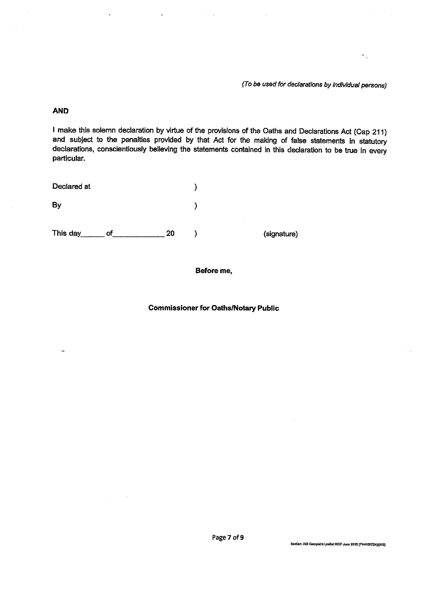(To be used for declarations by individual persons)

 $\frac{1}{2}$ 

## **AND**

 $\overline{\phantom{a}}$ 

I make this solemn declaration by virtue of the provisions of the Oaths and Declarations Act (Cap 211) and subject to the penalties provided by that Act for the making of false statements in statutory declarations, conscientiously believing the statements contained in this declaration to be true in every particular.

| Declared at    |    |             |
|----------------|----|-------------|
| By             |    |             |
| This day<br>оf | 20 | (signature) |

#### Before me,

## **Commissioner for Oaths/Notary Public**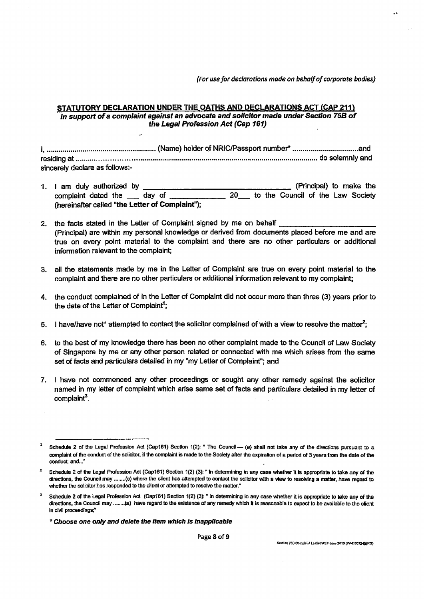(For use for declarations made on behalf of corporate bodies)

## STATUTORY DECLARATION UNDER THE OATHS AND DECLARATIONS ACT (CAP 211) in support of a complaint against an advocate and solicitor made under Section 75B of the Legal Profession Act (Cap 161)

sincerely declare as follows:-

- 1. I am duly authorized by (Principal) to make the complaint dated the day of  $20$ to the Council of the Law Society (hereinafter called "the Letter of Complaint");
- 2. the facts stated in the Letter of Complaint signed by me on behalf (Principal) are within my personal knowledge or derived from documents placed before me and are true on every point material to the complaint and there are no other particulars or additional information relevant to the complaint;
- 3. all the statements made by me in the Letter of Complaint are true on every point material to the complaint and there are no other particulars or additional information relevant to my complaint;
- 4. the conduct complained of in the Letter of Complaint did not occur more than three (3) years prior to the date of the Letter of Complaint<sup>1</sup>:
- 5. I have/have not\* attempted to contact the solicitor complained of with a view to resolve the matter<sup>2</sup>;
- 6. to the best of my knowledge there has been no other complaint made to the Council of Law Society of Singapore by me or any other person related or connected with me which arises from the same set of facts and particulars detailed in my "my Letter of Complaint"; and
- 7. I have not commenced any other proceedings or sought any other remedy against the solicitor named in my letter of complaint which arise same set of facts and particulars detailed in my letter of complaint<sup>3</sup>.

Schedule 2 of the Legal Profession Act (Cap161) Section 1(2): " The Council -- (a) shall not take any of the directions pursuant to a complaint of the conduct of the solicitor, if the complaint is made to the Society after the expiration of a period of 3 years from the date of the conduct; and..."

Schedule 2 of the Legal Profession Act (Cap161) Section 1(2) (3): " In determining in any case whether it is appropriate to take any of the directions, the Council may ........(c) where the client has attempted to contact the solicitor with a view to resolving a matter, have regard to whether the solicitor has responded to the client or attempted to resolve the matter."

Schedule 2 of the Legal Profession Act (Cap161) Section 1(2) (3): " In determining in any case whether it is appropriate to take any of the directions, the Council may ........(a) have regard to the existence of any remedy which it is reasonable to expect to be available to the client in civil proceedings;"

<sup>\*</sup> Choose one only and delete the item which is inapplicable